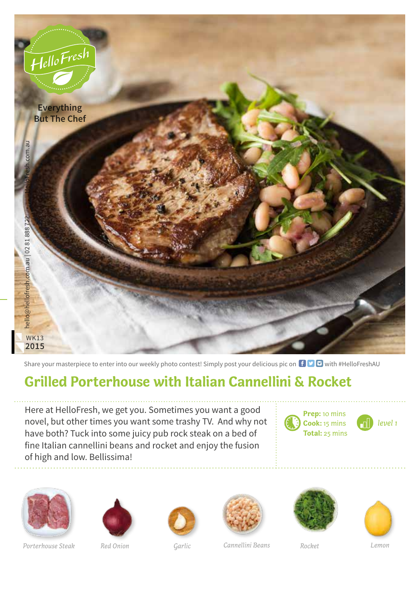

Share your masterpiece to enter into our weekly photo contest! Simply post your delicious pic on  $\bigoplus$   $\bigoplus$  with #HelloFreshAU

## **Grilled Porterhouse with Italian Cannellini & Rocket**

Here at HelloFresh, we get you. Sometimes you want a good novel, but other times you want some trashy TV. And why not have both? Tuck into some juicy pub rock steak on a bed of fine Italian cannellini beans and rocket and enjoy the fusion of high and low. Bellissima!



**Cook:** 15 mins





*Porterhouse Steak Red Onion Garlic Cannellini Beans Rocket Lemon*